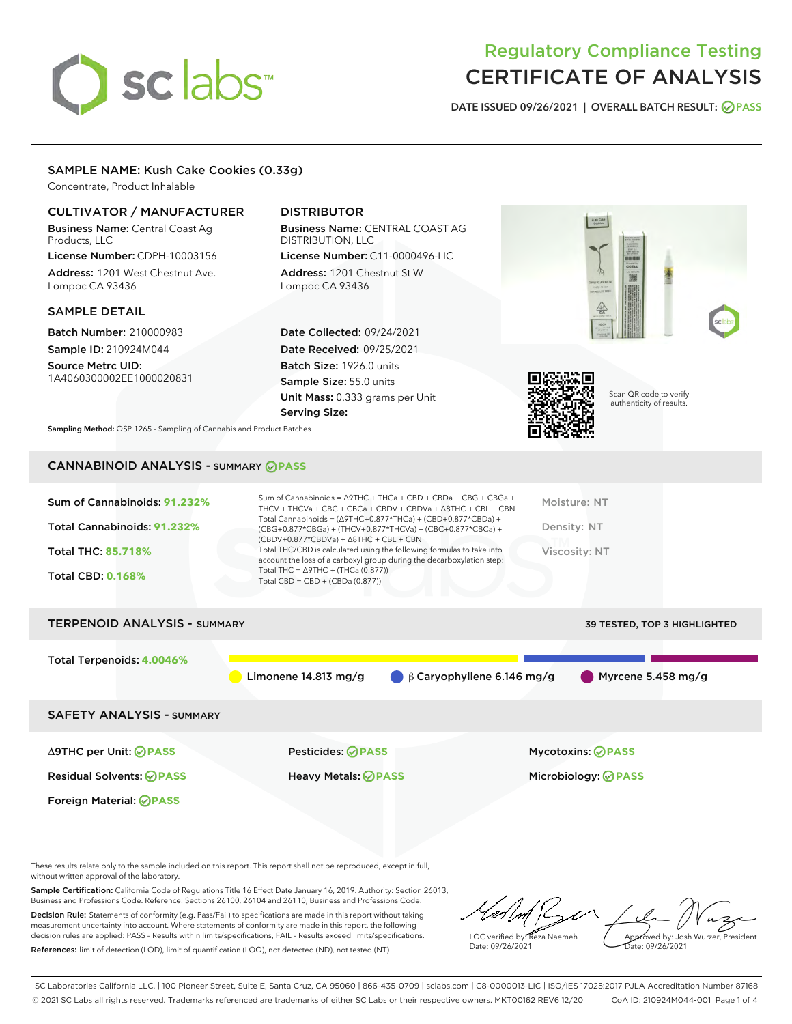# sclabs<sup>\*</sup>

# Regulatory Compliance Testing CERTIFICATE OF ANALYSIS

DATE ISSUED 09/26/2021 | OVERALL BATCH RESULT: @ PASS

# SAMPLE NAME: Kush Cake Cookies (0.33g)

Concentrate, Product Inhalable

# CULTIVATOR / MANUFACTURER

Business Name: Central Coast Ag Products, LLC License Number: CDPH-10003156

Address: 1201 West Chestnut Ave. Lompoc CA 93436

# SAMPLE DETAIL

Batch Number: 210000983 Sample ID: 210924M044

Source Metrc UID: 1A4060300002EE1000020831

# DISTRIBUTOR

Business Name: CENTRAL COAST AG DISTRIBUTION, LLC License Number: C11-0000496-LIC

Address: 1201 Chestnut St W Lompoc CA 93436

Date Collected: 09/24/2021 Date Received: 09/25/2021 Batch Size: 1926.0 units Sample Size: 55.0 units Unit Mass: 0.333 grams per Unit Serving Size:



Scan QR code to verify authenticity of results.

Sampling Method: QSP 1265 - Sampling of Cannabis and Product Batches

# CANNABINOID ANALYSIS - SUMMARY **PASS**

| Sum of Cannabinoids: 91.232%<br>Total Cannabinoids: 91.232%<br><b>Total THC: 85.718%</b><br><b>Total CBD: 0.168%</b> | Sum of Cannabinoids = $\triangle$ 9THC + THCa + CBD + CBDa + CBG + CBGa +<br>THCV + THCVa + CBC + CBCa + CBDV + CBDVa + $\Delta$ 8THC + CBL + CBN<br>Total Cannabinoids = $(\Delta$ 9THC+0.877*THCa) + (CBD+0.877*CBDa) +<br>(CBG+0.877*CBGa) + (THCV+0.877*THCVa) + (CBC+0.877*CBCa) +<br>$(CBDV+0.877*CBDVa) + \Delta 8THC + CBL + CBN$<br>Total THC/CBD is calculated using the following formulas to take into<br>account the loss of a carboxyl group during the decarboxylation step:<br>Total THC = $\triangle$ 9THC + (THCa (0.877))<br>Total CBD = $CBD + (CBDa (0.877))$ | Moisture: NT<br>Density: NT<br>Viscosity: NT |  |
|----------------------------------------------------------------------------------------------------------------------|------------------------------------------------------------------------------------------------------------------------------------------------------------------------------------------------------------------------------------------------------------------------------------------------------------------------------------------------------------------------------------------------------------------------------------------------------------------------------------------------------------------------------------------------------------------------------------|----------------------------------------------|--|
| <b>TERPENOID ANALYSIS - SUMMARY</b>                                                                                  |                                                                                                                                                                                                                                                                                                                                                                                                                                                                                                                                                                                    | <b>39 TESTED, TOP 3 HIGHLIGHTED</b>          |  |
| Total Terpenoids: 4.0046%                                                                                            |                                                                                                                                                                                                                                                                                                                                                                                                                                                                                                                                                                                    |                                              |  |

Limonene 14.813 mg/g  $\beta$  Caryophyllene 6.146 mg/g Myrcene 5.458 mg/g

SAFETY ANALYSIS - SUMMARY

Δ9THC per Unit: **PASS** Pesticides: **PASS** Mycotoxins: **PASS**

Foreign Material: **PASS**

Residual Solvents: **PASS** Heavy Metals: **PASS** Microbiology: **PASS**

These results relate only to the sample included on this report. This report shall not be reproduced, except in full, without written approval of the laboratory.

Sample Certification: California Code of Regulations Title 16 Effect Date January 16, 2019. Authority: Section 26013, Business and Professions Code. Reference: Sections 26100, 26104 and 26110, Business and Professions Code. Decision Rule: Statements of conformity (e.g. Pass/Fail) to specifications are made in this report without taking

measurement uncertainty into account. Where statements of conformity are made in this report, the following decision rules are applied: PASS – Results within limits/specifications, FAIL – Results exceed limits/specifications. References: limit of detection (LOD), limit of quantification (LOQ), not detected (ND), not tested (NT)

LQC verified by: Reza Naemeh Date: 09/26/2021 Approved by: Josh Wurzer, President ate: 09/26/2021

SC Laboratories California LLC. | 100 Pioneer Street, Suite E, Santa Cruz, CA 95060 | 866-435-0709 | sclabs.com | C8-0000013-LIC | ISO/IES 17025:2017 PJLA Accreditation Number 87168 © 2021 SC Labs all rights reserved. Trademarks referenced are trademarks of either SC Labs or their respective owners. MKT00162 REV6 12/20 CoA ID: 210924M044-001 Page 1 of 4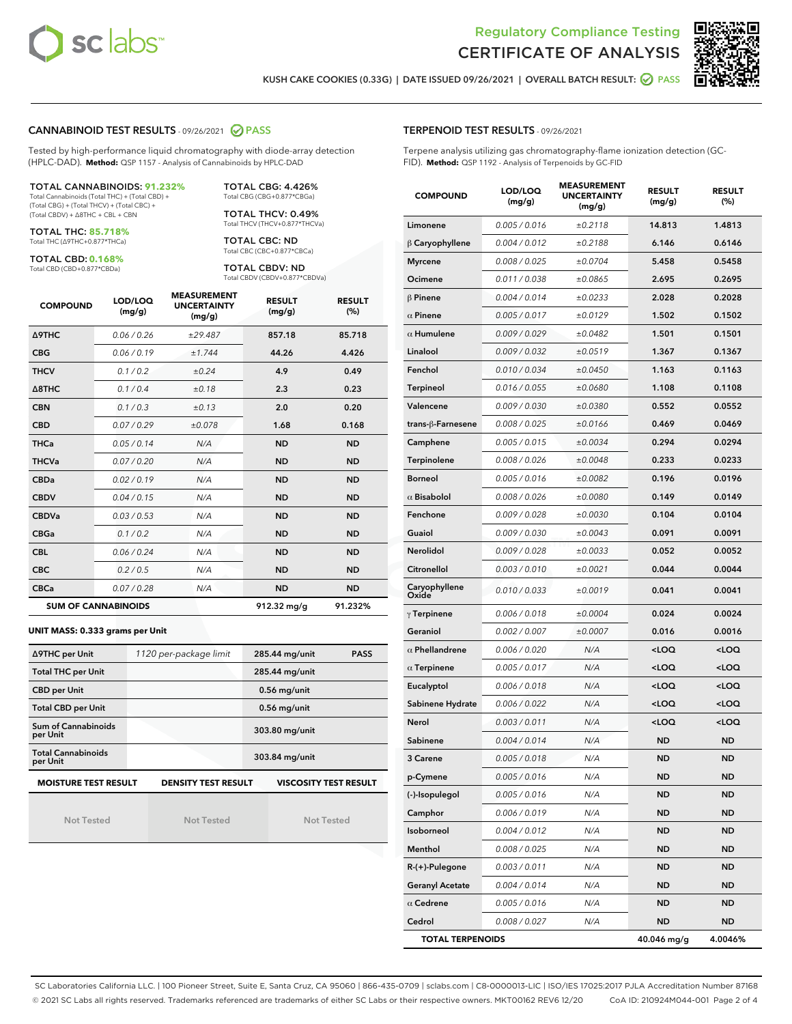



KUSH CAKE COOKIES (0.33G) | DATE ISSUED 09/26/2021 | OVERALL BATCH RESULT: @ PASS

# CANNABINOID TEST RESULTS - 09/26/2021 @ PASS

Tested by high-performance liquid chromatography with diode-array detection (HPLC-DAD). **Method:** QSP 1157 - Analysis of Cannabinoids by HPLC-DAD

#### TOTAL CANNABINOIDS: **91.232%**

Total Cannabinoids (Total THC) + (Total CBD) + (Total CBG) + (Total THCV) + (Total CBC) + (Total CBDV) + ∆8THC + CBL + CBN

TOTAL THC: **85.718%** Total THC (∆9THC+0.877\*THCa)

TOTAL CBD: **0.168%**

Total CBD (CBD+0.877\*CBDa)

TOTAL CBG: 4.426% Total CBG (CBG+0.877\*CBGa)

TOTAL THCV: 0.49% Total THCV (THCV+0.877\*THCVa)

TOTAL CBC: ND Total CBC (CBC+0.877\*CBCa)

TOTAL CBDV: ND Total CBDV (CBDV+0.877\*CBDVa)

| <b>COMPOUND</b>  | LOD/LOQ<br>(mg/g)          | <b>MEASUREMENT</b><br><b>UNCERTAINTY</b><br>(mg/g) | <b>RESULT</b><br>(mg/g) | <b>RESULT</b><br>(%) |
|------------------|----------------------------|----------------------------------------------------|-------------------------|----------------------|
| Δ9THC            | 0.06 / 0.26                | ±29.487                                            | 857.18                  | 85.718               |
| <b>CBG</b>       | 0.06 / 0.19                | ±1.744                                             | 44.26                   | 4.426                |
| <b>THCV</b>      | 0.1 / 0.2                  | ±0.24                                              | 4.9                     | 0.49                 |
| $\triangle$ 8THC | 0.1/0.4                    | ±0.18                                              | 2.3                     | 0.23                 |
| <b>CBN</b>       | 0.1/0.3                    | ±0.13                                              | 2.0                     | 0.20                 |
| <b>CBD</b>       | 0.07/0.29                  | ±0.078                                             | 1.68                    | 0.168                |
| <b>THCa</b>      | 0.05/0.14                  | N/A                                                | <b>ND</b>               | <b>ND</b>            |
| <b>THCVa</b>     | 0.07 / 0.20                | N/A                                                | <b>ND</b>               | <b>ND</b>            |
| <b>CBDa</b>      | 0.02/0.19                  | N/A                                                | <b>ND</b>               | <b>ND</b>            |
| <b>CBDV</b>      | 0.04 / 0.15                | N/A                                                | <b>ND</b>               | <b>ND</b>            |
| <b>CBDVa</b>     | 0.03/0.53                  | N/A                                                | <b>ND</b>               | <b>ND</b>            |
| <b>CBGa</b>      | 0.1/0.2                    | N/A                                                | <b>ND</b>               | <b>ND</b>            |
| <b>CBL</b>       | 0.06 / 0.24                | N/A                                                | <b>ND</b>               | <b>ND</b>            |
| <b>CBC</b>       | 0.2 / 0.5                  | N/A                                                | <b>ND</b>               | <b>ND</b>            |
| <b>CBCa</b>      | 0.07 / 0.28                | N/A                                                | <b>ND</b>               | <b>ND</b>            |
|                  | <b>SUM OF CANNABINOIDS</b> |                                                    | 912.32 mg/g             | 91.232%              |

#### **UNIT MASS: 0.333 grams per Unit**

| ∆9THC per Unit                        | 1120 per-package limit     | 285.44 mg/unit<br><b>PASS</b> |
|---------------------------------------|----------------------------|-------------------------------|
| <b>Total THC per Unit</b>             |                            | 285.44 mg/unit                |
| <b>CBD per Unit</b>                   |                            | $0.56$ mg/unit                |
| <b>Total CBD per Unit</b>             |                            | $0.56$ mg/unit                |
| Sum of Cannabinoids<br>per Unit       |                            | 303.80 mg/unit                |
| <b>Total Cannabinoids</b><br>per Unit |                            | 303.84 mg/unit                |
| <b>MOISTURE TEST RESULT</b>           | <b>DENSITY TEST RESULT</b> | <b>VISCOSITY TEST RESULT</b>  |

Not Tested

Not Tested

Not Tested

#### TERPENOID TEST RESULTS - 09/26/2021

Terpene analysis utilizing gas chromatography-flame ionization detection (GC-FID). **Method:** QSP 1192 - Analysis of Terpenoids by GC-FID

| <b>COMPOUND</b>         | LOD/LOQ<br>(mg/g) | <b>MEASUREMENT</b><br><b>UNCERTAINTY</b><br>(mg/g) | <b>RESULT</b><br>(mg/g)                         | <b>RESULT</b><br>(%) |
|-------------------------|-------------------|----------------------------------------------------|-------------------------------------------------|----------------------|
| Limonene                | 0.005 / 0.016     | ±0.2118                                            | 14.813                                          | 1.4813               |
| $\beta$ Caryophyllene   | 0.004 / 0.012     | ±0.2188                                            | 6.146                                           | 0.6146               |
| <b>Myrcene</b>          | 0.008 / 0.025     | ±0.0704                                            | 5.458                                           | 0.5458               |
| Ocimene                 | 0.011 / 0.038     | ±0.0865                                            | 2.695                                           | 0.2695               |
| $\beta$ Pinene          | 0.004 / 0.014     | ±0.0233                                            | 2.028                                           | 0.2028               |
| $\alpha$ Pinene         | 0.005 / 0.017     | ±0.0129                                            | 1.502                                           | 0.1502               |
| $\alpha$ Humulene       | 0.009 / 0.029     | ±0.0482                                            | 1.501                                           | 0.1501               |
| Linalool                | 0.009 / 0.032     | ±0.0519                                            | 1.367                                           | 0.1367               |
| Fenchol                 | 0.010 / 0.034     | ±0.0450                                            | 1.163                                           | 0.1163               |
| <b>Terpineol</b>        | 0.016 / 0.055     | ±0.0680                                            | 1.108                                           | 0.1108               |
| Valencene               | 0.009 / 0.030     | ±0.0380                                            | 0.552                                           | 0.0552               |
| trans-ß-Farnesene       | 0.008 / 0.025     | ±0.0166                                            | 0.469                                           | 0.0469               |
| Camphene                | 0.005 / 0.015     | ±0.0034                                            | 0.294                                           | 0.0294               |
| Terpinolene             | 0.008 / 0.026     | ±0.0048                                            | 0.233                                           | 0.0233               |
| <b>Borneol</b>          | 0.005 / 0.016     | ±0.0082                                            | 0.196                                           | 0.0196               |
| $\alpha$ Bisabolol      | 0.008 / 0.026     | ±0.0080                                            | 0.149                                           | 0.0149               |
| Fenchone                | 0.009 / 0.028     | ±0.0030                                            | 0.104                                           | 0.0104               |
| Guaiol                  | 0.009 / 0.030     | ±0.0043                                            | 0.091                                           | 0.0091               |
| Nerolidol               | 0.009 / 0.028     | ±0.0033                                            | 0.052                                           | 0.0052               |
| Citronellol             | 0.003 / 0.010     | ±0.0021                                            | 0.044                                           | 0.0044               |
| Caryophyllene<br>Oxide  | 0.010 / 0.033     | ±0.0019                                            | 0.041                                           | 0.0041               |
| $\gamma$ Terpinene      | 0.006 / 0.018     | ±0.0004                                            | 0.024                                           | 0.0024               |
| Geraniol                | 0.002 / 0.007     | ±0.0007                                            | 0.016                                           | 0.0016               |
| $\alpha$ Phellandrene   | 0.006 / 0.020     | N/A                                                | <loq< th=""><th><loq< th=""></loq<></th></loq<> | <loq< th=""></loq<>  |
| $\alpha$ Terpinene      | 0.005 / 0.017     | N/A                                                | <loq< th=""><th><loq< th=""></loq<></th></loq<> | <loq< th=""></loq<>  |
| Eucalyptol              | 0.006 / 0.018     | N/A                                                | <loq< th=""><th><loq< th=""></loq<></th></loq<> | <loq< th=""></loq<>  |
| Sabinene Hydrate        | 0.006 / 0.022     | N/A                                                | <loq< th=""><th><loq< th=""></loq<></th></loq<> | <loq< th=""></loq<>  |
| Nerol                   | 0.003 / 0.011     | N/A                                                | <loq< th=""><th><loq< th=""></loq<></th></loq<> | <loq< th=""></loq<>  |
| Sabinene                | 0.004 / 0.014     | N/A                                                | ND                                              | <b>ND</b>            |
| <b>3 Carene</b>         | 0.005 / 0.018     | N/A                                                | <b>ND</b>                                       | ND.                  |
| p-Cymene                | 0.005 / 0.016     | N/A                                                | ND                                              | ND                   |
| (-)-Isopulegol          | 0.005 / 0.016     | N/A                                                | ND                                              | ND                   |
| Camphor                 | 0.006 / 0.019     | N/A                                                | ND                                              | <b>ND</b>            |
| Isoborneol              | 0.004 / 0.012     | N/A                                                | ND                                              | <b>ND</b>            |
| Menthol                 | 0.008 / 0.025     | N/A                                                | ND                                              | ND                   |
| R-(+)-Pulegone          | 0.003 / 0.011     | N/A                                                | ND                                              | ND                   |
| <b>Geranyl Acetate</b>  | 0.004 / 0.014     | N/A                                                | ND                                              | <b>ND</b>            |
| $\alpha$ Cedrene        | 0.005 / 0.016     | N/A                                                | ND                                              | ND                   |
| Cedrol                  | 0.008 / 0.027     | N/A                                                | ND                                              | ND                   |
| <b>TOTAL TERPENOIDS</b> |                   |                                                    | 40.046 mg/g                                     | 4.0046%              |

SC Laboratories California LLC. | 100 Pioneer Street, Suite E, Santa Cruz, CA 95060 | 866-435-0709 | sclabs.com | C8-0000013-LIC | ISO/IES 17025:2017 PJLA Accreditation Number 87168 © 2021 SC Labs all rights reserved. Trademarks referenced are trademarks of either SC Labs or their respective owners. MKT00162 REV6 12/20 CoA ID: 210924M044-001 Page 2 of 4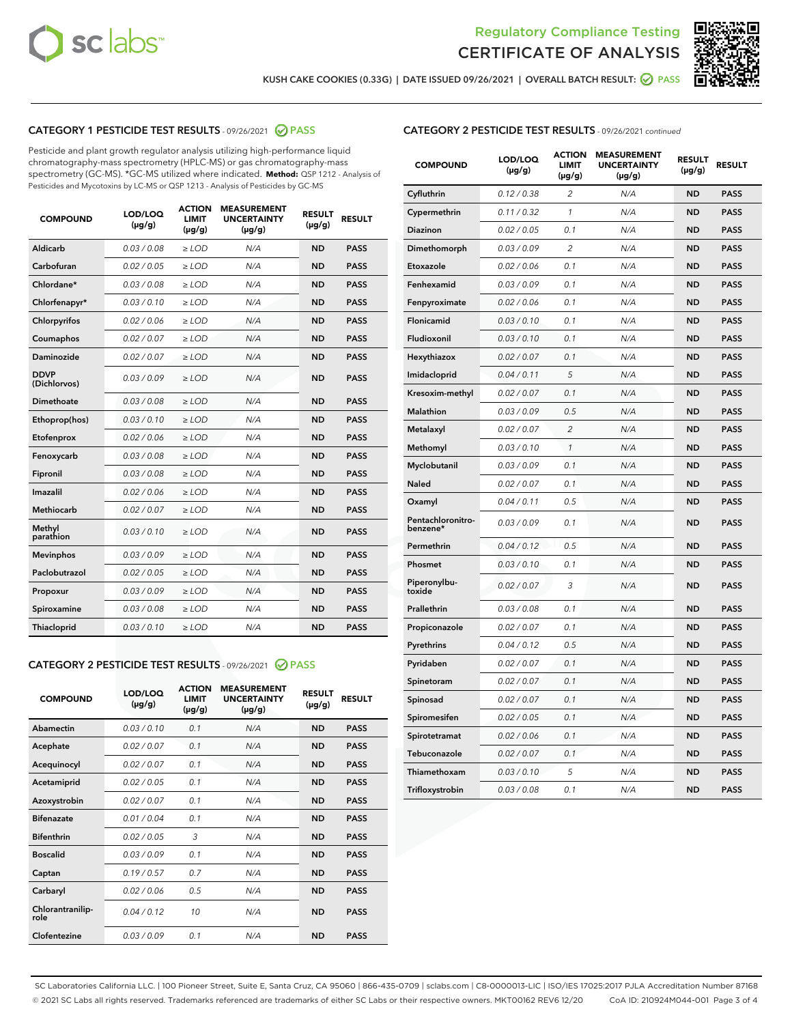



KUSH CAKE COOKIES (0.33G) | DATE ISSUED 09/26/2021 | OVERALL BATCH RESULT: @ PASS

# CATEGORY 1 PESTICIDE TEST RESULTS - 09/26/2021 2 PASS

Pesticide and plant growth regulator analysis utilizing high-performance liquid chromatography-mass spectrometry (HPLC-MS) or gas chromatography-mass spectrometry (GC-MS). \*GC-MS utilized where indicated. **Method:** QSP 1212 - Analysis of Pesticides and Mycotoxins by LC-MS or QSP 1213 - Analysis of Pesticides by GC-MS

| <b>COMPOUND</b>             | LOD/LOQ<br>$(\mu g/g)$ | <b>ACTION</b><br><b>LIMIT</b><br>$(\mu q/q)$ | <b>MEASUREMENT</b><br><b>UNCERTAINTY</b><br>$(\mu g/g)$ | <b>RESULT</b><br>$(\mu g/g)$ | <b>RESULT</b> |
|-----------------------------|------------------------|----------------------------------------------|---------------------------------------------------------|------------------------------|---------------|
| Aldicarb                    | 0.03 / 0.08            | $\ge$ LOD                                    | N/A                                                     | <b>ND</b>                    | <b>PASS</b>   |
| Carbofuran                  | 0.02/0.05              | $>$ LOD                                      | N/A                                                     | <b>ND</b>                    | <b>PASS</b>   |
| Chlordane*                  | 0.03 / 0.08            | $\ge$ LOD                                    | N/A                                                     | <b>ND</b>                    | <b>PASS</b>   |
| Chlorfenapyr*               | 0.03/0.10              | $\ge$ LOD                                    | N/A                                                     | <b>ND</b>                    | <b>PASS</b>   |
| Chlorpyrifos                | 0.02 / 0.06            | $\ge$ LOD                                    | N/A                                                     | <b>ND</b>                    | <b>PASS</b>   |
| Coumaphos                   | 0.02 / 0.07            | $>$ LOD                                      | N/A                                                     | <b>ND</b>                    | <b>PASS</b>   |
| <b>Daminozide</b>           | 0.02 / 0.07            | $\ge$ LOD                                    | N/A                                                     | <b>ND</b>                    | <b>PASS</b>   |
| <b>DDVP</b><br>(Dichlorvos) | 0.03/0.09              | $\ge$ LOD                                    | N/A                                                     | <b>ND</b>                    | <b>PASS</b>   |
| <b>Dimethoate</b>           | 0.03 / 0.08            | $\ge$ LOD                                    | N/A                                                     | <b>ND</b>                    | <b>PASS</b>   |
| Ethoprop(hos)               | 0.03/0.10              | $\ge$ LOD                                    | N/A                                                     | <b>ND</b>                    | <b>PASS</b>   |
| Etofenprox                  | 0.02 / 0.06            | $\ge$ LOD                                    | N/A                                                     | <b>ND</b>                    | <b>PASS</b>   |
| Fenoxycarb                  | 0.03 / 0.08            | $\ge$ LOD                                    | N/A                                                     | <b>ND</b>                    | <b>PASS</b>   |
| Fipronil                    | 0.03/0.08              | $>$ LOD                                      | N/A                                                     | <b>ND</b>                    | <b>PASS</b>   |
| Imazalil                    | 0.02 / 0.06            | $\ge$ LOD                                    | N/A                                                     | <b>ND</b>                    | <b>PASS</b>   |
| Methiocarb                  | 0.02 / 0.07            | $\ge$ LOD                                    | N/A                                                     | <b>ND</b>                    | <b>PASS</b>   |
| Methyl<br>parathion         | 0.03/0.10              | $>$ LOD                                      | N/A                                                     | <b>ND</b>                    | <b>PASS</b>   |
| <b>Mevinphos</b>            | 0.03/0.09              | $>$ LOD                                      | N/A                                                     | <b>ND</b>                    | <b>PASS</b>   |
| Paclobutrazol               | 0.02 / 0.05            | $\ge$ LOD                                    | N/A                                                     | <b>ND</b>                    | <b>PASS</b>   |
| Propoxur                    | 0.03/0.09              | $\ge$ LOD                                    | N/A                                                     | <b>ND</b>                    | <b>PASS</b>   |
| Spiroxamine                 | 0.03 / 0.08            | $\ge$ LOD                                    | N/A                                                     | <b>ND</b>                    | <b>PASS</b>   |
| <b>Thiacloprid</b>          | 0.03/0.10              | $\ge$ LOD                                    | N/A                                                     | <b>ND</b>                    | <b>PASS</b>   |

#### CATEGORY 2 PESTICIDE TEST RESULTS - 09/26/2021 @ PASS

| <b>COMPOUND</b>          | LOD/LOO<br>$(\mu g/g)$ | <b>ACTION</b><br>LIMIT<br>$(\mu g/g)$ | <b>MEASUREMENT</b><br><b>UNCERTAINTY</b><br>$(\mu g/g)$ | <b>RESULT</b><br>$(\mu g/g)$ | <b>RESULT</b> |
|--------------------------|------------------------|---------------------------------------|---------------------------------------------------------|------------------------------|---------------|
| Abamectin                | 0.03/0.10              | 0.1                                   | N/A                                                     | <b>ND</b>                    | <b>PASS</b>   |
| Acephate                 | 0.02/0.07              | 0.1                                   | N/A                                                     | <b>ND</b>                    | <b>PASS</b>   |
| Acequinocyl              | 0.02/0.07              | 0.1                                   | N/A                                                     | <b>ND</b>                    | <b>PASS</b>   |
| Acetamiprid              | 0.02/0.05              | 0.1                                   | N/A                                                     | <b>ND</b>                    | <b>PASS</b>   |
| Azoxystrobin             | 0.02/0.07              | 0.1                                   | N/A                                                     | <b>ND</b>                    | <b>PASS</b>   |
| <b>Bifenazate</b>        | 0.01/0.04              | 0.1                                   | N/A                                                     | <b>ND</b>                    | <b>PASS</b>   |
| <b>Bifenthrin</b>        | 0.02 / 0.05            | 3                                     | N/A                                                     | <b>ND</b>                    | <b>PASS</b>   |
| <b>Boscalid</b>          | 0.03/0.09              | 0.1                                   | N/A                                                     | <b>ND</b>                    | <b>PASS</b>   |
| Captan                   | 0.19/0.57              | 0.7                                   | N/A                                                     | <b>ND</b>                    | <b>PASS</b>   |
| Carbaryl                 | 0.02/0.06              | 0.5                                   | N/A                                                     | <b>ND</b>                    | <b>PASS</b>   |
| Chlorantranilip-<br>role | 0.04/0.12              | 10                                    | N/A                                                     | <b>ND</b>                    | <b>PASS</b>   |
| Clofentezine             | 0.03/0.09              | 0.1                                   | N/A                                                     | <b>ND</b>                    | <b>PASS</b>   |

# CATEGORY 2 PESTICIDE TEST RESULTS - 09/26/2021 continued

| <b>COMPOUND</b>               | LOD/LOQ<br>(µg/g) | <b>ACTION</b><br><b>LIMIT</b><br>$(\mu g/g)$ | <b>MEASUREMENT</b><br><b>UNCERTAINTY</b><br>$(\mu g/g)$ | <b>RESULT</b><br>(µg/g) | <b>RESULT</b> |
|-------------------------------|-------------------|----------------------------------------------|---------------------------------------------------------|-------------------------|---------------|
| Cyfluthrin                    | 0.12 / 0.38       | $\overline{c}$                               | N/A                                                     | ND                      | <b>PASS</b>   |
| Cypermethrin                  | 0.11 / 0.32       | $\mathcal{I}$                                | N/A                                                     | ND                      | <b>PASS</b>   |
| <b>Diazinon</b>               | 0.02 / 0.05       | 0.1                                          | N/A                                                     | <b>ND</b>               | <b>PASS</b>   |
| Dimethomorph                  | 0.03 / 0.09       | 2                                            | N/A                                                     | ND                      | <b>PASS</b>   |
| Etoxazole                     | 0.02 / 0.06       | 0.1                                          | N/A                                                     | ND                      | <b>PASS</b>   |
| Fenhexamid                    | 0.03 / 0.09       | 0.1                                          | N/A                                                     | ND                      | <b>PASS</b>   |
| Fenpyroximate                 | 0.02 / 0.06       | 0.1                                          | N/A                                                     | <b>ND</b>               | <b>PASS</b>   |
| Flonicamid                    | 0.03 / 0.10       | 0.1                                          | N/A                                                     | ND                      | <b>PASS</b>   |
| Fludioxonil                   | 0.03 / 0.10       | 0.1                                          | N/A                                                     | ND                      | <b>PASS</b>   |
| Hexythiazox                   | 0.02 / 0.07       | 0.1                                          | N/A                                                     | ND                      | <b>PASS</b>   |
| Imidacloprid                  | 0.04 / 0.11       | 5                                            | N/A                                                     | ND                      | <b>PASS</b>   |
| Kresoxim-methyl               | 0.02 / 0.07       | 0.1                                          | N/A                                                     | ND                      | <b>PASS</b>   |
| Malathion                     | 0.03 / 0.09       | 0.5                                          | N/A                                                     | <b>ND</b>               | <b>PASS</b>   |
| Metalaxyl                     | 0.02 / 0.07       | $\overline{c}$                               | N/A                                                     | ND                      | <b>PASS</b>   |
| Methomyl                      | 0.03 / 0.10       | 1                                            | N/A                                                     | ND                      | <b>PASS</b>   |
| Myclobutanil                  | 0.03 / 0.09       | 0.1                                          | N/A                                                     | <b>ND</b>               | <b>PASS</b>   |
| Naled                         | 0.02 / 0.07       | 0.1                                          | N/A                                                     | ND                      | <b>PASS</b>   |
| Oxamyl                        | 0.04 / 0.11       | 0.5                                          | N/A                                                     | ND                      | <b>PASS</b>   |
| Pentachloronitro-<br>benzene* | 0.03 / 0.09       | 0.1                                          | N/A                                                     | ND                      | <b>PASS</b>   |
| Permethrin                    | 0.04 / 0.12       | 0.5                                          | N/A                                                     | ND                      | <b>PASS</b>   |
| Phosmet                       | 0.03 / 0.10       | 0.1                                          | N/A                                                     | ND                      | <b>PASS</b>   |
| Piperonylbu-<br>toxide        | 0.02 / 0.07       | 3                                            | N/A                                                     | ND                      | <b>PASS</b>   |
| Prallethrin                   | 0.03 / 0.08       | 0.1                                          | N/A                                                     | ND                      | <b>PASS</b>   |
| Propiconazole                 | 0.02 / 0.07       | 0.1                                          | N/A                                                     | ND                      | <b>PASS</b>   |
| Pyrethrins                    | 0.04 / 0.12       | 0.5                                          | N/A                                                     | ND                      | <b>PASS</b>   |
| Pyridaben                     | 0.02 / 0.07       | 0.1                                          | N/A                                                     | <b>ND</b>               | <b>PASS</b>   |
| Spinetoram                    | 0.02 / 0.07       | 0.1                                          | N/A                                                     | ND                      | <b>PASS</b>   |
| Spinosad                      | 0.02 / 0.07       | 0.1                                          | N/A                                                     | ND                      | <b>PASS</b>   |
| Spiromesifen                  | 0.02 / 0.05       | 0.1                                          | N/A                                                     | <b>ND</b>               | <b>PASS</b>   |
| Spirotetramat                 | 0.02 / 0.06       | 0.1                                          | N/A                                                     | ND                      | <b>PASS</b>   |
| Tebuconazole                  | 0.02 / 0.07       | 0.1                                          | N/A                                                     | ND                      | <b>PASS</b>   |
| Thiamethoxam                  | 0.03 / 0.10       | 5                                            | N/A                                                     | <b>ND</b>               | <b>PASS</b>   |
| Trifloxystrobin               | 0.03 / 0.08       | 0.1                                          | N/A                                                     | <b>ND</b>               | <b>PASS</b>   |

SC Laboratories California LLC. | 100 Pioneer Street, Suite E, Santa Cruz, CA 95060 | 866-435-0709 | sclabs.com | C8-0000013-LIC | ISO/IES 17025:2017 PJLA Accreditation Number 87168 © 2021 SC Labs all rights reserved. Trademarks referenced are trademarks of either SC Labs or their respective owners. MKT00162 REV6 12/20 CoA ID: 210924M044-001 Page 3 of 4